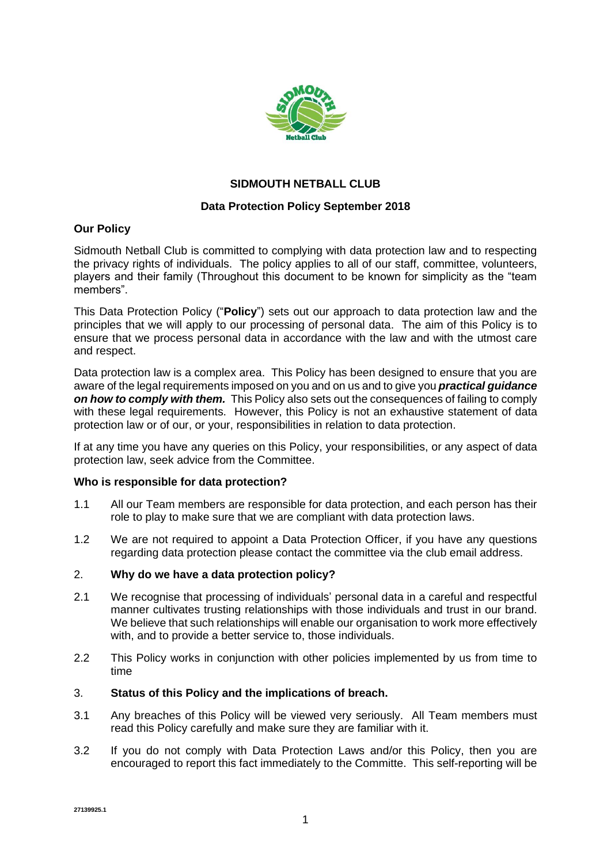

# **SIDMOUTH NETBALL CLUB**

## **Data Protection Policy September 2018**

## **Our Policy**

Sidmouth Netball Club is committed to complying with data protection law and to respecting the privacy rights of individuals. The policy applies to all of our staff, committee, volunteers, players and their family (Throughout this document to be known for simplicity as the "team members".

This Data Protection Policy ("**Policy**") sets out our approach to data protection law and the principles that we will apply to our processing of personal data. The aim of this Policy is to ensure that we process personal data in accordance with the law and with the utmost care and respect.

Data protection law is a complex area. This Policy has been designed to ensure that you are aware of the legal requirements imposed on you and on us and to give you *practical guidance on how to comply with them.* This Policy also sets out the consequences of failing to comply with these legal requirements. However, this Policy is not an exhaustive statement of data protection law or of our, or your, responsibilities in relation to data protection.

If at any time you have any queries on this Policy, your responsibilities, or any aspect of data protection law, seek advice from the Committee.

#### **Who is responsible for data protection?**

- 1.1 All our Team members are responsible for data protection, and each person has their role to play to make sure that we are compliant with data protection laws.
- 1.2 We are not required to appoint a Data Protection Officer, if you have any questions regarding data protection please contact the committee via the club email address.

#### 2. **Why do we have a data protection policy?**

- 2.1 We recognise that processing of individuals' personal data in a careful and respectful manner cultivates trusting relationships with those individuals and trust in our brand. We believe that such relationships will enable our organisation to work more effectively with, and to provide a better service to, those individuals.
- 2.2 This Policy works in conjunction with other policies implemented by us from time to time

#### 3. **Status of this Policy and the implications of breach.**

- 3.1 Any breaches of this Policy will be viewed very seriously. All Team members must read this Policy carefully and make sure they are familiar with it.
- 3.2 If you do not comply with Data Protection Laws and/or this Policy, then you are encouraged to report this fact immediately to the Committe. This self-reporting will be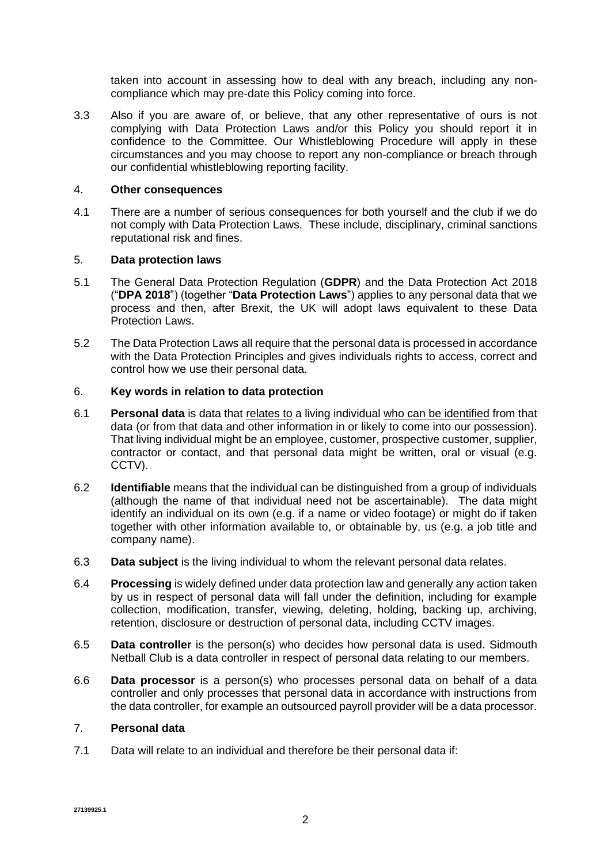taken into account in assessing how to deal with any breach, including any noncompliance which may pre-date this Policy coming into force.

3.3 Also if you are aware of, or believe, that any other representative of ours is not complying with Data Protection Laws and/or this Policy you should report it in confidence to the Committee. Our Whistleblowing Procedure will apply in these circumstances and you may choose to report any non-compliance or breach through our confidential whistleblowing reporting facility.

#### 4. **Other consequences**

4.1 There are a number of serious consequences for both yourself and the club if we do not comply with Data Protection Laws. These include, disciplinary, criminal sanctions reputational risk and fines.

## 5. **Data protection laws**

- 5.1 The General Data Protection Regulation (**GDPR**) and the Data Protection Act 2018 ("**DPA 2018**") (together "**Data Protection Laws**") applies to any personal data that we process and then, after Brexit, the UK will adopt laws equivalent to these Data Protection Laws.
- 5.2 The Data Protection Laws all require that the personal data is processed in accordance with the Data Protection Principles and gives individuals rights to access, correct and control how we use their personal data.

## 6. **Key words in relation to data protection**

- 6.1 **Personal data** is data that relates to a living individual who can be identified from that data (or from that data and other information in or likely to come into our possession). That living individual might be an employee, customer, prospective customer, supplier, contractor or contact, and that personal data might be written, oral or visual (e.g. CCTV).
- 6.2 **Identifiable** means that the individual can be distinguished from a group of individuals (although the name of that individual need not be ascertainable). The data might identify an individual on its own (e.g. if a name or video footage) or might do if taken together with other information available to, or obtainable by, us (e.g. a job title and company name).
- 6.3 **Data subject** is the living individual to whom the relevant personal data relates.
- 6.4 **Processing** is widely defined under data protection law and generally any action taken by us in respect of personal data will fall under the definition, including for example collection, modification, transfer, viewing, deleting, holding, backing up, archiving, retention, disclosure or destruction of personal data, including CCTV images.
- 6.5 **Data controller** is the person(s) who decides how personal data is used. Sidmouth Netball Club is a data controller in respect of personal data relating to our members.
- 6.6 **Data processor** is a person(s) who processes personal data on behalf of a data controller and only processes that personal data in accordance with instructions from the data controller, for example an outsourced payroll provider will be a data processor.

#### 7. **Personal data**

7.1 Data will relate to an individual and therefore be their personal data if: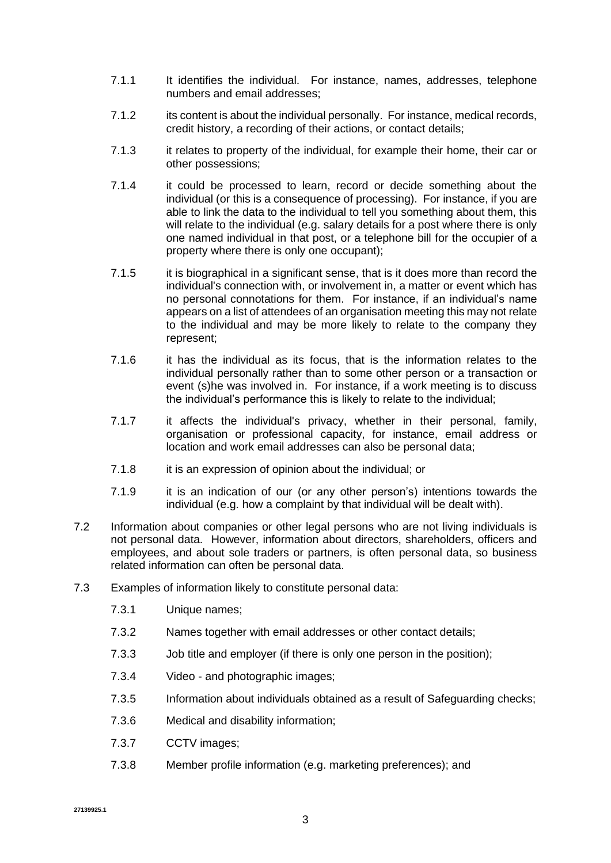- 7.1.1 It identifies the individual. For instance, names, addresses, telephone numbers and email addresses;
- 7.1.2 its content is about the individual personally. For instance, medical records, credit history, a recording of their actions, or contact details;
- 7.1.3 it relates to property of the individual, for example their home, their car or other possessions;
- 7.1.4 it could be processed to learn, record or decide something about the individual (or this is a consequence of processing). For instance, if you are able to link the data to the individual to tell you something about them, this will relate to the individual (e.g. salary details for a post where there is only one named individual in that post, or a telephone bill for the occupier of a property where there is only one occupant);
- 7.1.5 it is biographical in a significant sense, that is it does more than record the individual's connection with, or involvement in, a matter or event which has no personal connotations for them. For instance, if an individual's name appears on a list of attendees of an organisation meeting this may not relate to the individual and may be more likely to relate to the company they represent;
- 7.1.6 it has the individual as its focus, that is the information relates to the individual personally rather than to some other person or a transaction or event (s)he was involved in. For instance, if a work meeting is to discuss the individual's performance this is likely to relate to the individual;
- 7.1.7 it affects the individual's privacy, whether in their personal, family, organisation or professional capacity, for instance, email address or location and work email addresses can also be personal data;
- 7.1.8 it is an expression of opinion about the individual; or
- 7.1.9 it is an indication of our (or any other person's) intentions towards the individual (e.g. how a complaint by that individual will be dealt with).
- 7.2 Information about companies or other legal persons who are not living individuals is not personal data. However, information about directors, shareholders, officers and employees, and about sole traders or partners, is often personal data, so business related information can often be personal data.
- 7.3 Examples of information likely to constitute personal data:
	- 7.3.1 Unique names;
	- 7.3.2 Names together with email addresses or other contact details;
	- 7.3.3 Job title and employer (if there is only one person in the position);
	- 7.3.4 Video and photographic images;
	- 7.3.5 Information about individuals obtained as a result of Safeguarding checks;
	- 7.3.6 Medical and disability information;
	- 7.3.7 CCTV images;
	- 7.3.8 Member profile information (e.g. marketing preferences); and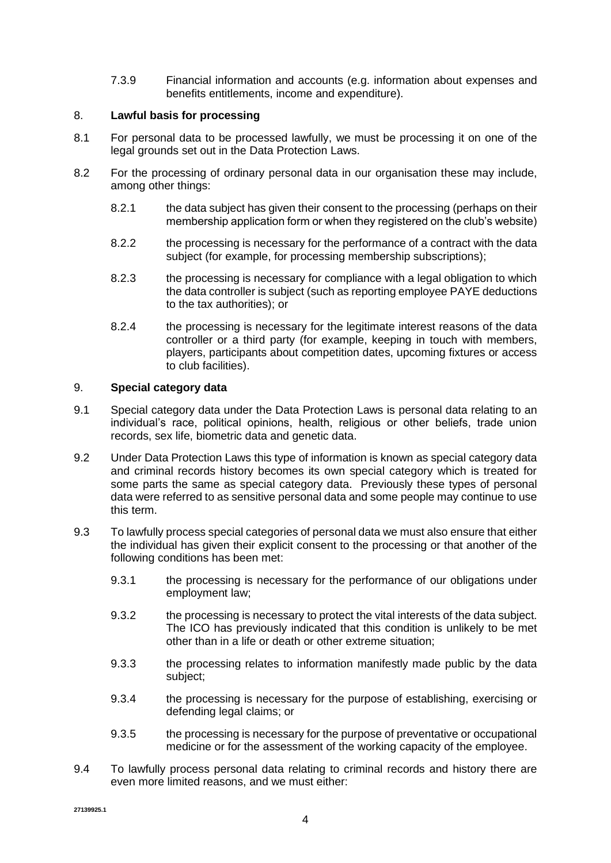7.3.9 Financial information and accounts (e.g. information about expenses and benefits entitlements, income and expenditure).

## 8. **Lawful basis for processing**

- 8.1 For personal data to be processed lawfully, we must be processing it on one of the legal grounds set out in the Data Protection Laws.
- 8.2 For the processing of ordinary personal data in our organisation these may include, among other things:
	- 8.2.1 the data subject has given their consent to the processing (perhaps on their membership application form or when they registered on the club's website)
	- 8.2.2 the processing is necessary for the performance of a contract with the data subject (for example, for processing membership subscriptions);
	- 8.2.3 the processing is necessary for compliance with a legal obligation to which the data controller is subject (such as reporting employee PAYE deductions to the tax authorities); or
	- 8.2.4 the processing is necessary for the legitimate interest reasons of the data controller or a third party (for example, keeping in touch with members, players, participants about competition dates, upcoming fixtures or access to club facilities).

# 9. **Special category data**

- 9.1 Special category data under the Data Protection Laws is personal data relating to an individual's race, political opinions, health, religious or other beliefs, trade union records, sex life, biometric data and genetic data.
- 9.2 Under Data Protection Laws this type of information is known as special category data and criminal records history becomes its own special category which is treated for some parts the same as special category data. Previously these types of personal data were referred to as sensitive personal data and some people may continue to use this term.
- 9.3 To lawfully process special categories of personal data we must also ensure that either the individual has given their explicit consent to the processing or that another of the following conditions has been met:
	- 9.3.1 the processing is necessary for the performance of our obligations under employment law;
	- 9.3.2 the processing is necessary to protect the vital interests of the data subject. The ICO has previously indicated that this condition is unlikely to be met other than in a life or death or other extreme situation;
	- 9.3.3 the processing relates to information manifestly made public by the data subject;
	- 9.3.4 the processing is necessary for the purpose of establishing, exercising or defending legal claims; or
	- 9.3.5 the processing is necessary for the purpose of preventative or occupational medicine or for the assessment of the working capacity of the employee.
- 9.4 To lawfully process personal data relating to criminal records and history there are even more limited reasons, and we must either: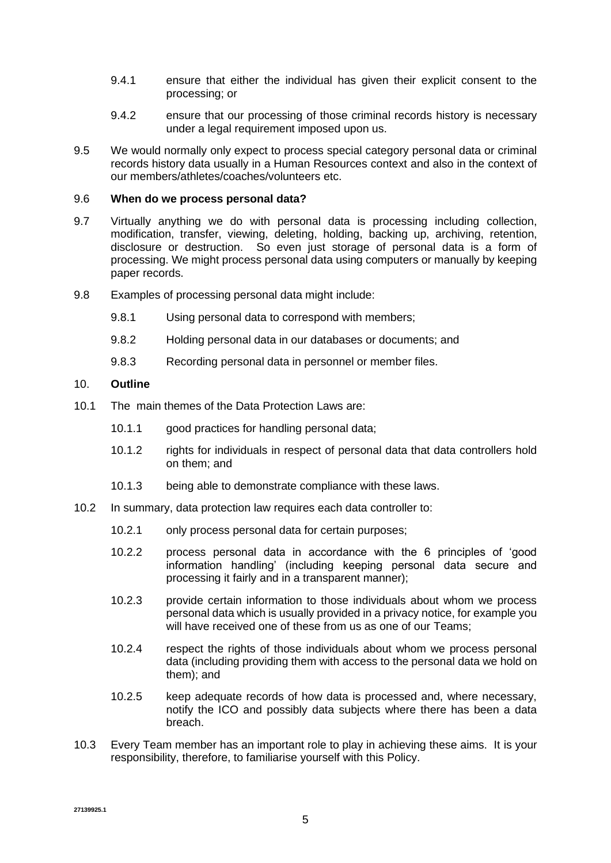- 9.4.1 ensure that either the individual has given their explicit consent to the processing; or
- 9.4.2 ensure that our processing of those criminal records history is necessary under a legal requirement imposed upon us.
- 9.5 We would normally only expect to process special category personal data or criminal records history data usually in a Human Resources context and also in the context of our members/athletes/coaches/volunteers etc.

#### 9.6 **When do we process personal data?**

- 9.7 Virtually anything we do with personal data is processing including collection, modification, transfer, viewing, deleting, holding, backing up, archiving, retention, disclosure or destruction. So even just storage of personal data is a form of processing. We might process personal data using computers or manually by keeping paper records.
- 9.8 Examples of processing personal data might include:
	- 9.8.1 Using personal data to correspond with members;
	- 9.8.2 Holding personal data in our databases or documents; and
	- 9.8.3 Recording personal data in personnel or member files.

#### 10. **Outline**

- 10.1 The main themes of the Data Protection Laws are:
	- 10.1.1 good practices for handling personal data;
	- 10.1.2 rights for individuals in respect of personal data that data controllers hold on them; and
	- 10.1.3 being able to demonstrate compliance with these laws.
- 10.2 In summary, data protection law requires each data controller to:
	- 10.2.1 only process personal data for certain purposes;
	- 10.2.2 process personal data in accordance with the 6 principles of 'good information handling' (including keeping personal data secure and processing it fairly and in a transparent manner);
	- 10.2.3 provide certain information to those individuals about whom we process personal data which is usually provided in a privacy notice, for example you will have received one of these from us as one of our Teams;
	- 10.2.4 respect the rights of those individuals about whom we process personal data (including providing them with access to the personal data we hold on them); and
	- 10.2.5 keep adequate records of how data is processed and, where necessary, notify the ICO and possibly data subjects where there has been a data breach.
- 10.3 Every Team member has an important role to play in achieving these aims. It is your responsibility, therefore, to familiarise yourself with this Policy.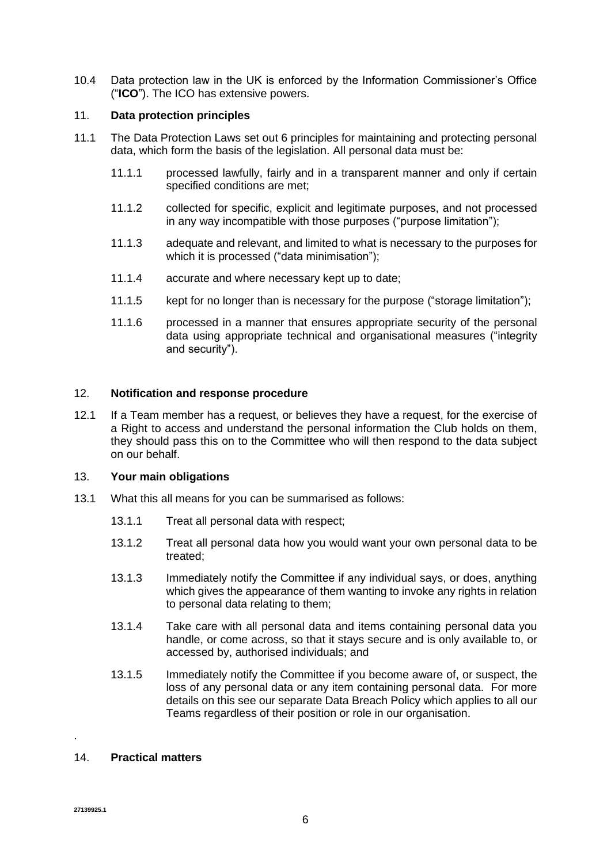10.4 Data protection law in the UK is enforced by the Information Commissioner's Office ("**ICO**"). The ICO has extensive powers.

## 11. **Data protection principles**

- 11.1 The Data Protection Laws set out 6 principles for maintaining and protecting personal data, which form the basis of the legislation. All personal data must be:
	- 11.1.1 processed lawfully, fairly and in a transparent manner and only if certain specified conditions are met;
	- 11.1.2 collected for specific, explicit and legitimate purposes, and not processed in any way incompatible with those purposes ("purpose limitation");
	- 11.1.3 adequate and relevant, and limited to what is necessary to the purposes for which it is processed ("data minimisation");
	- 11.1.4 accurate and where necessary kept up to date;
	- 11.1.5 kept for no longer than is necessary for the purpose ("storage limitation");
	- 11.1.6 processed in a manner that ensures appropriate security of the personal data using appropriate technical and organisational measures ("integrity and security").

#### 12. **Notification and response procedure**

12.1 If a Team member has a request, or believes they have a request, for the exercise of a Right to access and understand the personal information the Club holds on them, they should pass this on to the Committee who will then respond to the data subject on our behalf.

## 13. **Your main obligations**

- 13.1 What this all means for you can be summarised as follows:
	- 13.1.1 Treat all personal data with respect;
	- 13.1.2 Treat all personal data how you would want your own personal data to be treated;
	- 13.1.3 Immediately notify the Committee if any individual says, or does, anything which gives the appearance of them wanting to invoke any rights in relation to personal data relating to them;
	- 13.1.4 Take care with all personal data and items containing personal data you handle, or come across, so that it stays secure and is only available to, or accessed by, authorised individuals; and
	- 13.1.5 Immediately notify the Committee if you become aware of, or suspect, the loss of any personal data or any item containing personal data. For more details on this see our separate Data Breach Policy which applies to all our Teams regardless of their position or role in our organisation.

## 14. **Practical matters**

.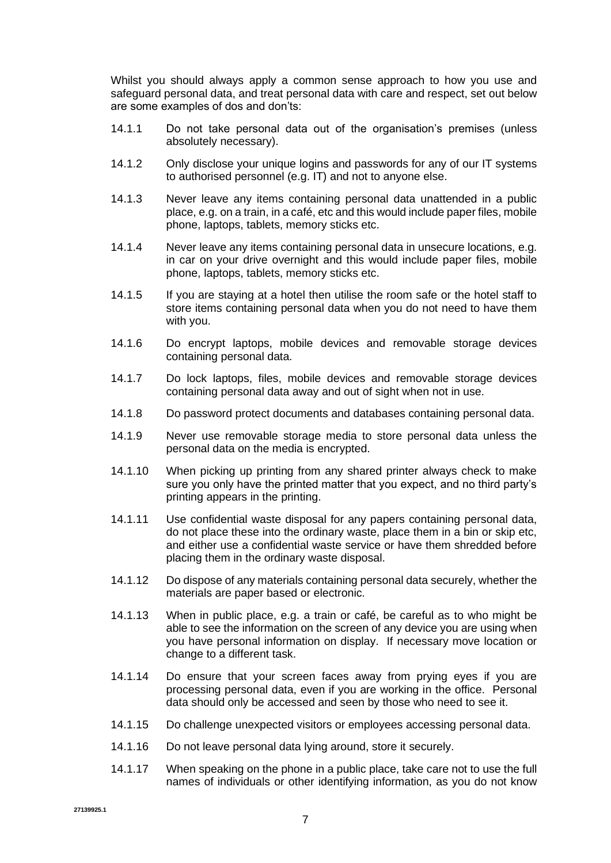Whilst you should always apply a common sense approach to how you use and safeguard personal data, and treat personal data with care and respect, set out below are some examples of dos and don'ts:

- 14.1.1 Do not take personal data out of the organisation's premises (unless absolutely necessary).
- 14.1.2 Only disclose your unique logins and passwords for any of our IT systems to authorised personnel (e.g. IT) and not to anyone else.
- 14.1.3 Never leave any items containing personal data unattended in a public place, e.g. on a train, in a café, etc and this would include paper files, mobile phone, laptops, tablets, memory sticks etc.
- 14.1.4 Never leave any items containing personal data in unsecure locations, e.g. in car on your drive overnight and this would include paper files, mobile phone, laptops, tablets, memory sticks etc.
- 14.1.5 If you are staying at a hotel then utilise the room safe or the hotel staff to store items containing personal data when you do not need to have them with you.
- 14.1.6 Do encrypt laptops, mobile devices and removable storage devices containing personal data.
- 14.1.7 Do lock laptops, files, mobile devices and removable storage devices containing personal data away and out of sight when not in use.
- 14.1.8 Do password protect documents and databases containing personal data.
- 14.1.9 Never use removable storage media to store personal data unless the personal data on the media is encrypted.
- 14.1.10 When picking up printing from any shared printer always check to make sure you only have the printed matter that you expect, and no third party's printing appears in the printing.
- 14.1.11 Use confidential waste disposal for any papers containing personal data, do not place these into the ordinary waste, place them in a bin or skip etc, and either use a confidential waste service or have them shredded before placing them in the ordinary waste disposal.
- 14.1.12 Do dispose of any materials containing personal data securely, whether the materials are paper based or electronic.
- 14.1.13 When in public place, e.g. a train or café, be careful as to who might be able to see the information on the screen of any device you are using when you have personal information on display. If necessary move location or change to a different task.
- 14.1.14 Do ensure that your screen faces away from prying eyes if you are processing personal data, even if you are working in the office. Personal data should only be accessed and seen by those who need to see it.
- 14.1.15 Do challenge unexpected visitors or employees accessing personal data.
- 14.1.16 Do not leave personal data lying around, store it securely.
- 14.1.17 When speaking on the phone in a public place, take care not to use the full names of individuals or other identifying information, as you do not know